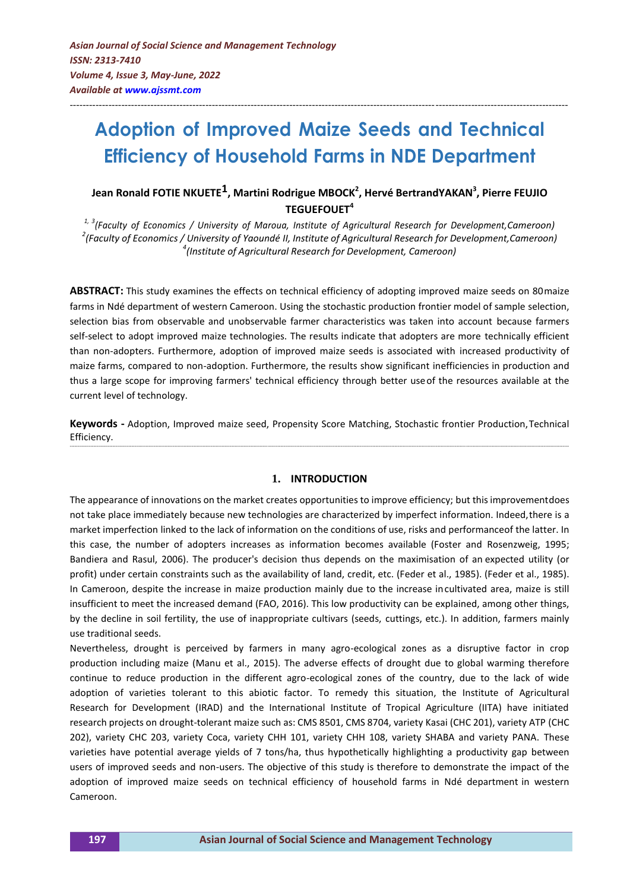# **Adoption of Improved Maize Seeds and Technical Efficiency of Household Farms in NDE Department**

----------------------------------------------------------------------------------------------------------------------------------------------------------

# **Jean Ronald FOTIE NKUETE1, Martini Rodrigue MBOCK<sup>2</sup> , Hervé BertrandYAKAN<sup>3</sup> , Pierre FEUJIO TEGUEFOUET<sup>4</sup>**

*1, 3 (Faculty of Economics / University of Maroua, Institute of Agricultural Research for Development,Cameroon) 2 (Faculty of Economics / University of Yaoundé II, Institute of Agricultural Research for Development,Cameroon) 4 (Institute of Agricultural Research for Development, Cameroon)*

**ABSTRACT:** This study examines the effects on technical efficiency of adopting improved maize seeds on 80maize farms in Ndé department of western Cameroon. Using the stochastic production frontier model of sample selection, selection bias from observable and unobservable farmer characteristics was taken into account because farmers self-select to adopt improved maize technologies. The results indicate that adopters are more technically efficient than non-adopters. Furthermore, adoption of improved maize seeds is associated with increased productivity of maize farms, compared to non-adoption. Furthermore, the results show significant inefficiencies in production and thus a large scope for improving farmers' technical efficiency through better useof the resources available at the current level of technology.

**Keywords -** Adoption, Improved maize seed, Propensity Score Matching, Stochastic frontier Production,Technical Efficiency. *---------------------------------------------------------------------------------------------------------------------------------------------------------------------------------------------------------------------------------------------------------------------------------------------------------------------------*

# **1. INTRODUCTION**

The appearance of innovations on the market creates opportunities to improve efficiency; but thisimprovementdoes not take place immediately because new technologies are characterized by imperfect information. Indeed,there is a market imperfection linked to the lack of information on the conditions of use, risks and performanceof the latter. In this case, the number of adopters increases as information becomes available (Foster and Rosenzweig, 1995; Bandiera and Rasul, 2006). The producer's decision thus depends on the maximisation of an expected utility (or profit) under certain constraints such as the availability of land, credit, etc. (Feder et al., 1985). (Feder et al., 1985). In Cameroon, despite the increase in maize production mainly due to the increase incultivated area, maize is still insufficient to meet the increased demand (FAO, 2016). This low productivity can be explained, among other things, by the decline in soil fertility, the use of inappropriate cultivars (seeds, cuttings, etc.). In addition, farmers mainly use traditional seeds.

Nevertheless, drought is perceived by farmers in many agro-ecological zones as a disruptive factor in crop production including maize (Manu et al., 2015). The adverse effects of drought due to global warming therefore continue to reduce production in the different agro-ecological zones of the country, due to the lack of wide adoption of varieties tolerant to this abiotic factor. To remedy this situation, the Institute of Agricultural Research for Development (IRAD) and the International Institute of Tropical Agriculture (IITA) have initiated research projects on drought-tolerant maize such as: CMS 8501, CMS 8704, variety Kasai (CHC 201), variety ATP (CHC 202), variety CHC 203, variety Coca, variety CHH 101, variety CHH 108, variety SHABA and variety PANA. These varieties have potential average yields of 7 tons/ha, thus hypothetically highlighting a productivity gap between users of improved seeds and non-users. The objective of this study is therefore to demonstrate the impact of the adoption of improved maize seeds on technical efficiency of household farms in Ndé department in western Cameroon.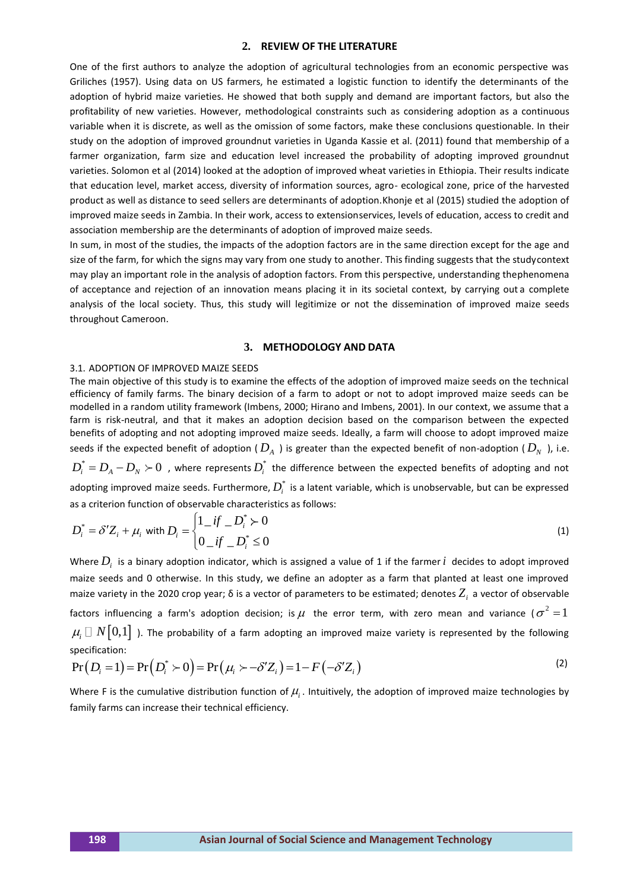#### **2. REVIEW OF THE LITERATURE**

One of the first authors to analyze the adoption of agricultural technologies from an economic perspective was Griliches (1957). Using data on US farmers, he estimated a logistic function to identify the determinants of the adoption of hybrid maize varieties. He showed that both supply and demand are important factors, but also the profitability of new varieties. However, methodological constraints such as considering adoption as a continuous variable when it is discrete, as well as the omission of some factors, make these conclusions questionable. In their study on the adoption of improved groundnut varieties in Uganda Kassie et al. (2011) found that membership of a farmer organization, farm size and education level increased the probability of adopting improved groundnut varieties. Solomon et al (2014) looked at the adoption of improved wheat varieties in Ethiopia. Their results indicate that education level, market access, diversity of information sources, agro- ecological zone, price of the harvested product as well as distance to seed sellers are determinants of adoption.Khonje et al (2015) studied the adoption of improved maize seeds in Zambia. In their work, access to extensionservices, levels of education, access to credit and association membership are the determinants of adoption of improved maize seeds.

In sum, in most of the studies, the impacts of the adoption factors are in the same direction except for the age and size of the farm, for which the signs may vary from one study to another. This finding suggests that the studycontext may play an important role in the analysis of adoption factors. From this perspective, understanding thephenomena of acceptance and rejection of an innovation means placing it in its societal context, by carrying out a complete analysis of the local society. Thus, this study will legitimize or not the dissemination of improved maize seeds throughout Cameroon.

## **3. METHODOLOGY AND DATA**

# 3.1. ADOPTION OF IMPROVED MAIZE SEEDS

The main objective of this study is to examine the effects of the adoption of improved maize seeds on the technical efficiency of family farms. The binary decision of a farm to adopt or not to adopt improved maize seeds can be modelled in a random utility framework (Imbens, 2000; Hirano and Imbens, 2001). In our context, we assume that a farm is risk-neutral, and that it makes an adoption decision based on the comparison between the expected benefits of adopting and not adopting improved maize seeds. Ideally, a farm will choose to adopt improved maize seeds if the expected benefit of adoption (  $D_{_A}$  ) is greater than the expected benefit of non-adoption (  $D_{_N}$  ), i.e.  $D_i^*$   $=$   $D_A$   $D_N$   $>$   $0\;$  , where represents  $D_i^*$  the difference between the expected benefits of adopting and not adopting improved maize seeds. Furthermore,  $D_i^*$  is a latent variable, which is unobservable, but can be expressed as a criterion function of observable characteristics as follows:

$$
D_i^* = \delta' Z_i + \mu_i \text{ with } D_i = \begin{cases} 1_{\text{if}} - D_i^* > 0 \\ 0_{\text{if}} - D_i^* \le 0 \end{cases} \tag{1}
$$

Where  $D_i^+$  is a binary adoption indicator, which is assigned a value of 1 if the farmer  $i^+$  decides to adopt improved maize seeds and 0 otherwise. In this study, we define an adopter as a farm that planted at least one improved maize variety in the 2020 crop year; δ is a vector of parameters to be estimated; denotes  $Z_i$  a vector of observable factors influencing a farm's adoption decision; is  $\mu$  the error term, with zero mean and variance ( $\sigma^2$  =  $1$  $\mu_i \square N[0,1]$  ). The probability of a farm adopting an improved maize variety is represented by the following specification:<br>Pr  $(D_i = 1) = Pr(D_i^* \succ 0) = Pr(D_i \succ -\delta' Z_i) = 1 - F(-\delta' Z_i)$  (2) specification:

$$
Pr(Di = 1) = Pr(Di* > 0) = Pr(\mui > -\delta' Zi) = 1 - F(-\delta' Zi)
$$
\n(2)

Where F is the cumulative distribution function of  $\mu_i$  . Intuitively, the adoption of improved maize technologies by family farms can increase their technical efficiency.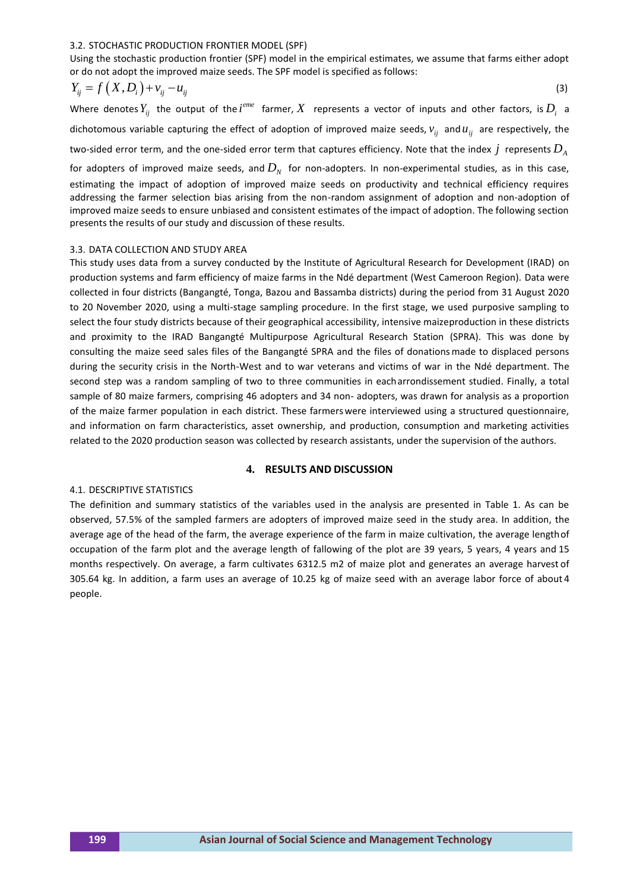#### 3.2. STOCHASTIC PRODUCTION FRONTIER MODEL (SPF)

Using the stochastic production frontier (SPF) model in the empirical estimates, we assume that farms either adopt or do not adopt the improved maize seeds. The SPF model is specified as follows:

$$
Y_{ij} = f\left(X, D_i\right) + v_{ij} - u_{ij} \tag{3}
$$

Where denotes  $Y_{ij}$  the output of the  $i^{eme}$  farmer,  $X$  represents a vector of inputs and other factors, is  $D_i$  a dichotomous variable capturing the effect of adoption of improved maize seeds,  $v_{ij}^{\parallel}$  and  $u_{ij}^{\parallel}$  are respectively, the two-sided error term, and the one-sided error term that captures efficiency. Note that the index  $j$  represents  $D_{\scriptscriptstyle A}$ 

for adopters of improved maize seeds, and  $D_{\scriptscriptstyle N}^{}$  for non-adopters. In non-experimental studies, as in this case, estimating the impact of adoption of improved maize seeds on productivity and technical efficiency requires addressing the farmer selection bias arising from the non-random assignment of adoption and non-adoption of improved maize seeds to ensure unbiased and consistent estimates of the impact of adoption. The following section presents the results of our study and discussion of these results.

#### 3.3. DATA COLLECTION AND STUDY AREA

This study uses data from a survey conducted by the Institute of Agricultural Research for Development (IRAD) on production systems and farm efficiency of maize farms in the Ndé department (West Cameroon Region). Data were collected in four districts (Bangangté, Tonga, Bazou and Bassamba districts) during the period from 31 August 2020 to 20 November 2020, using a multi-stage sampling procedure. In the first stage, we used purposive sampling to select the four study districts because of their geographical accessibility, intensive maizeproduction in these districts and proximity to the IRAD Bangangté Multipurpose Agricultural Research Station (SPRA). This was done by consulting the maize seed sales files of the Bangangté SPRA and the files of donationsmade to displaced persons during the security crisis in the North-West and to war veterans and victims of war in the Ndé department. The second step was a random sampling of two to three communities in eacharrondissement studied. Finally, a total sample of 80 maize farmers, comprising 46 adopters and 34 non- adopters, was drawn for analysis as a proportion of the maize farmer population in each district. These farmerswere interviewed using a structured questionnaire, and information on farm characteristics, asset ownership, and production, consumption and marketing activities related to the 2020 production season was collected by research assistants, under the supervision of the authors.

# **4. RESULTS AND DISCUSSION**

#### 4.1. DESCRIPTIVE STATISTICS

The definition and summary statistics of the variables used in the analysis are presented in Table 1. As can be observed, 57.5% of the sampled farmers are adopters of improved maize seed in the study area. In addition, the average age of the head of the farm, the average experience of the farm in maize cultivation, the average lengthof occupation of the farm plot and the average length of fallowing of the plot are 39 years, 5 years, 4 years and 15 months respectively. On average, a farm cultivates 6312.5 m2 of maize plot and generates an average harvest of 305.64 kg. In addition, a farm uses an average of 10.25 kg of maize seed with an average labor force of about 4 people.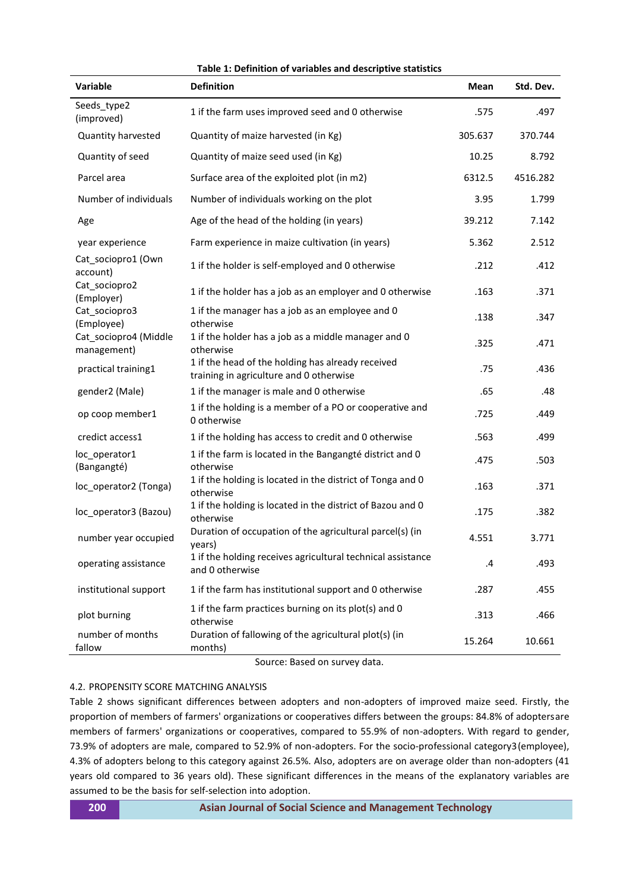| Variable                             | <b>Definition</b>                                                                            | Mean    | Std. Dev. |
|--------------------------------------|----------------------------------------------------------------------------------------------|---------|-----------|
| Seeds_type2<br>(improved)            | 1 if the farm uses improved seed and 0 otherwise                                             | .575    | .497      |
| Quantity harvested                   | Quantity of maize harvested (in Kg)                                                          | 305.637 | 370.744   |
| Quantity of seed                     | Quantity of maize seed used (in Kg)                                                          | 10.25   | 8.792     |
| Parcel area                          | Surface area of the exploited plot (in m2)                                                   | 6312.5  | 4516.282  |
| Number of individuals                | Number of individuals working on the plot                                                    | 3.95    | 1.799     |
| Age                                  | Age of the head of the holding (in years)                                                    | 39.212  | 7.142     |
| year experience                      | Farm experience in maize cultivation (in years)                                              | 5.362   | 2.512     |
| Cat_sociopro1 (Own<br>account)       | 1 if the holder is self-employed and 0 otherwise                                             | .212    | .412      |
| Cat sociopro2<br>(Employer)          | 1 if the holder has a job as an employer and 0 otherwise                                     | .163    | .371      |
| Cat sociopro3<br>(Employee)          | 1 if the manager has a job as an employee and 0<br>otherwise                                 | .138    | .347      |
| Cat_sociopro4 (Middle<br>management) | 1 if the holder has a job as a middle manager and 0<br>otherwise                             | .325    | .471      |
| practical training1                  | 1 if the head of the holding has already received<br>training in agriculture and 0 otherwise | .75     | .436      |
| gender2 (Male)                       | 1 if the manager is male and 0 otherwise                                                     | .65     | .48       |
| op coop member1                      | 1 if the holding is a member of a PO or cooperative and<br>0 otherwise                       | .725    | .449      |
| credict access1                      | 1 if the holding has access to credit and 0 otherwise                                        | .563    | .499      |
| loc_operator1<br>(Bangangté)         | 1 if the farm is located in the Bangangté district and 0<br>otherwise                        | .475    | .503      |
| loc_operator2 (Tonga)                | 1 if the holding is located in the district of Tonga and 0<br>otherwise                      | .163    | .371      |
| loc_operator3 (Bazou)                | 1 if the holding is located in the district of Bazou and 0<br>otherwise                      | .175    | .382      |
| number year occupied                 | Duration of occupation of the agricultural parcel(s) (in<br>vears)                           | 4.551   | 3.771     |
| operating assistance                 | 1 if the holding receives agricultural technical assistance<br>and 0 otherwise               | .4      | .493      |
| institutional support                | 1 if the farm has institutional support and 0 otherwise                                      | .287    | .455      |
| plot burning                         | 1 if the farm practices burning on its plot(s) and 0<br>otherwise                            | .313    | .466      |
| number of months<br>fallow           | Duration of fallowing of the agricultural plot(s) (in<br>months)                             | 15.264  | 10.661    |

**Table 1: Definition of variables and descriptive statistics**

Source: Based on survey data.

# 4.2. PROPENSITY SCORE MATCHING ANALYSIS

Table 2 shows significant differences between adopters and non-adopters of improved maize seed. Firstly, the proportion of members of farmers' organizations or cooperatives differs between the groups: 84.8% of adoptersare members of farmers' organizations or cooperatives, compared to 55.9% of non-adopters. With regard to gender, 73.9% of adopters are male, compared to 52.9% of non-adopters. For the socio-professional category3(employee), 4.3% of adopters belong to this category against 26.5%. Also, adopters are on average older than non-adopters (41 years old compared to 36 years old). These significant differences in the means of the explanatory variables are assumed to be the basis for self-selection into adoption.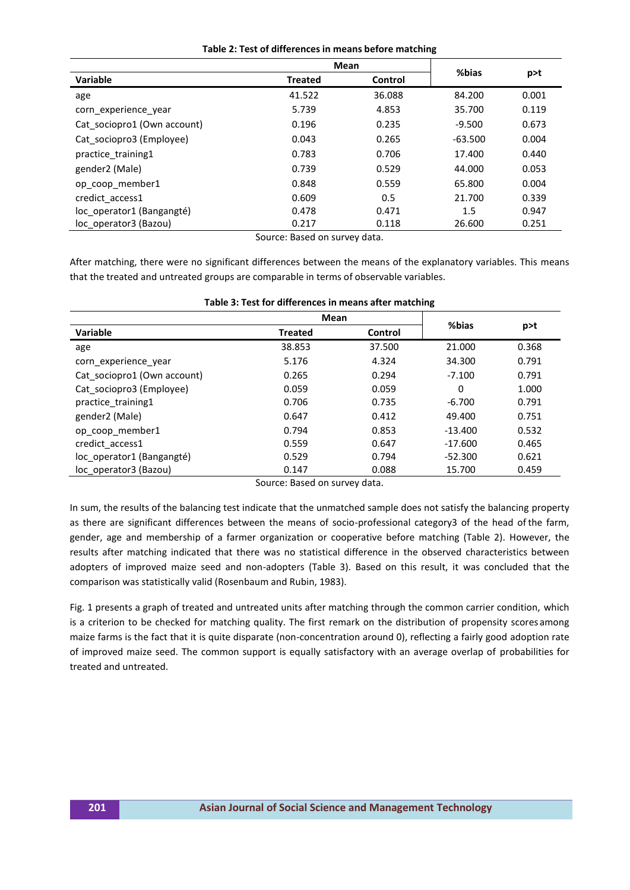# **Table 2: Test of differences in means before matching**

|                             | Mean           |         | %bias     |       |
|-----------------------------|----------------|---------|-----------|-------|
| <b>Variable</b>             | <b>Treated</b> | Control |           | p>t   |
| age                         | 41.522         | 36.088  | 84.200    | 0.001 |
| corn experience year        | 5.739          | 4.853   | 35.700    | 0.119 |
| Cat sociopro1 (Own account) | 0.196          | 0.235   | $-9.500$  | 0.673 |
| Cat sociopro3 (Employee)    | 0.043          | 0.265   | $-63.500$ | 0.004 |
| practice training1          | 0.783          | 0.706   | 17.400    | 0.440 |
| gender2 (Male)              | 0.739          | 0.529   | 44.000    | 0.053 |
| op_coop_member1             | 0.848          | 0.559   | 65.800    | 0.004 |
| credict access1             | 0.609          | 0.5     | 21.700    | 0.339 |
| loc_operator1 (Bangangté)   | 0.478          | 0.471   | 1.5       | 0.947 |
| loc operator3 (Bazou)       | 0.217          | 0.118   | 26.600    | 0.251 |

Source: Based on survey data.

After matching, there were no significant differences between the means of the explanatory variables. This means that the treated and untreated groups are comparable in terms of observable variables.

|                             | Table 3: Test for differences in means after matching |         |           |       |
|-----------------------------|-------------------------------------------------------|---------|-----------|-------|
|                             | <b>Mean</b>                                           |         | %bias     |       |
| Variable                    | <b>Treated</b>                                        | Control |           | p>t   |
| age                         | 38.853                                                | 37.500  | 21.000    | 0.368 |
| corn_experience_year        | 5.176                                                 | 4.324   | 34.300    | 0.791 |
| Cat sociopro1 (Own account) | 0.265                                                 | 0.294   | $-7.100$  | 0.791 |
| Cat sociopro3 (Employee)    | 0.059                                                 | 0.059   | 0         | 1.000 |
| practice training1          | 0.706                                                 | 0.735   | $-6.700$  | 0.791 |
| gender2 (Male)              | 0.647                                                 | 0.412   | 49.400    | 0.751 |
| op_coop_member1             | 0.794                                                 | 0.853   | $-13.400$ | 0.532 |
| credict access1             | 0.559                                                 | 0.647   | $-17.600$ | 0.465 |
| loc operator1 (Bangangté)   | 0.529                                                 | 0.794   | $-52.300$ | 0.621 |
| loc operator3 (Bazou)       | 0.147                                                 | 0.088   | 15.700    | 0.459 |

**Table 3: Test for differences in means after matching**

Source: Based on survey data.

In sum, the results of the balancing test indicate that the unmatched sample does not satisfy the balancing property as there are significant differences between the means of socio-professional category3 of the head of the farm, gender, age and membership of a farmer organization or cooperative before matching (Table 2). However, the results after matching indicated that there was no statistical difference in the observed characteristics between adopters of improved maize seed and non-adopters (Table 3). Based on this result, it was concluded that the comparison was statistically valid (Rosenbaum and Rubin, 1983).

Fig. 1 presents a graph of treated and untreated units after matching through the common carrier condition, which is a criterion to be checked for matching quality. The first remark on the distribution of propensity scores among maize farms is the fact that it is quite disparate (non-concentration around 0), reflecting a fairly good adoption rate of improved maize seed. The common support is equally satisfactory with an average overlap of probabilities for treated and untreated.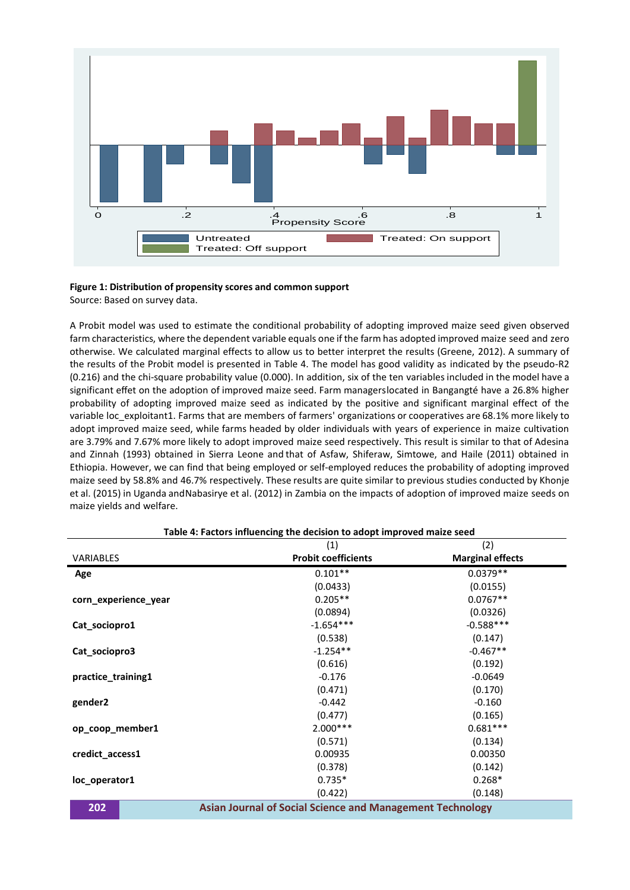

# **Figure 1: Distribution of propensity scores and common support**

Source: Based on survey data.

A Probit model was used to estimate the conditional probability of adopting improved maize seed given observed farm characteristics, where the dependent variable equals one if the farm has adopted improved maize seed and zero otherwise. We calculated marginal effects to allow us to better interpret the results (Greene, 2012). A summary of the results of the Probit model is presented in Table 4. The model has good validity as indicated by the pseudo-R2 (0.216) and the chi-square probability value (0.000). In addition, six of the ten variablesincluded in the model have a significant effet on the adoption of improved maize seed. Farm managerslocated in Bangangté have a 26.8% higher probability of adopting improved maize seed as indicated by the positive and significant marginal effect of the variable loc\_exploitant1. Farms that are members of farmers' organizations or cooperatives are 68.1% more likely to adopt improved maize seed, while farms headed by older individuals with years of experience in maize cultivation are 3.79% and 7.67% more likely to adopt improved maize seed respectively. This result is similar to that of Adesina and Zinnah (1993) obtained in Sierra Leone and that of Asfaw, Shiferaw, Simtowe, and Haile (2011) obtained in Ethiopia. However, we can find that being employed or self-employed reduces the probability of adopting improved maize seed by 58.8% and 46.7% respectively. These results are quite similar to previous studies conducted by Khonje et al. (2015) in Uganda andNabasirye et al. (2012) in Zambia on the impacts of adoption of improved maize seeds on maize yields and welfare.

|                      | (1)                                                              | (2)                     |
|----------------------|------------------------------------------------------------------|-------------------------|
| <b>VARIABLES</b>     | <b>Probit coefficients</b>                                       | <b>Marginal effects</b> |
| Age                  | $0.101**$                                                        | $0.0379**$              |
|                      | (0.0433)                                                         | (0.0155)                |
| corn_experience_year | $0.205**$                                                        | $0.0767**$              |
|                      | (0.0894)                                                         | (0.0326)                |
| Cat_sociopro1        | $-1.654***$                                                      | $-0.588***$             |
|                      | (0.538)                                                          | (0.147)                 |
| Cat_sociopro3        | $-1.254**$                                                       | $-0.467**$              |
|                      | (0.616)                                                          | (0.192)                 |
| practice_training1   | $-0.176$                                                         | $-0.0649$               |
|                      | (0.471)                                                          | (0.170)                 |
| gender <sub>2</sub>  | $-0.442$                                                         | $-0.160$                |
|                      | (0.477)                                                          | (0.165)                 |
| op_coop_member1      | $2.000***$                                                       | $0.681***$              |
|                      | (0.571)                                                          | (0.134)                 |
| credict_access1      | 0.00935                                                          | 0.00350                 |
|                      | (0.378)                                                          | (0.142)                 |
| loc_operator1        | $0.735*$                                                         | $0.268*$                |
|                      | (0.422)                                                          | (0.148)                 |
| 202                  | <b>Asian Journal of Social Science and Management Technology</b> |                         |

# **Table 4: Factors influencing the decision to adopt improved maize seed**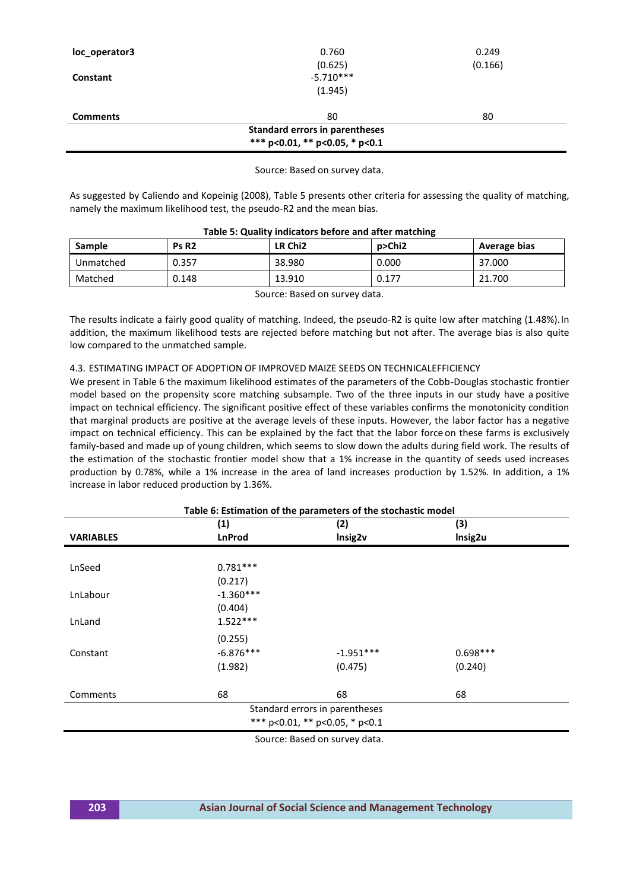| loc operator3   | 0.760                                 | 0.249   |
|-----------------|---------------------------------------|---------|
|                 | (0.625)                               | (0.166) |
| Constant        | $-5.710***$                           |         |
|                 | (1.945)                               |         |
| <b>Comments</b> | 80                                    | 80      |
|                 | <b>Standard errors in parentheses</b> |         |
|                 | *** p<0.01, ** p<0.05, * p<0.1        |         |

# Source: Based on survey data.

As suggested by Caliendo and Kopeinig (2008), Table 5 presents other criteria for assessing the quality of matching, namely the maximum likelihood test, the pseudo-R2 and the mean bias.

| Table 5: Quality indicators before and after matching<br><b>Ps R2</b><br>LR Chi <sub>2</sub><br>p>Chi2<br>Average bias<br>Sample |       |        |       |        |
|----------------------------------------------------------------------------------------------------------------------------------|-------|--------|-------|--------|
| Unmatched                                                                                                                        | 0.357 | 38.980 | 0.000 | 37.000 |
| Matched                                                                                                                          | 0.148 | 13.910 | 0.177 | 21.700 |

Source: Based on survey data.

The results indicate a fairly good quality of matching. Indeed, the pseudo-R2 is quite low after matching (1.48%).In addition, the maximum likelihood tests are rejected before matching but not after. The average bias is also quite low compared to the unmatched sample.

# 4.3. ESTIMATING IMPACT OF ADOPTION OF IMPROVED MAIZE SEEDS ON TECHNICALEFFICIENCY

We present in Table 6 the maximum likelihood estimates of the parameters of the Cobb-Douglas stochastic frontier model based on the propensity score matching subsample. Two of the three inputs in our study have a positive impact on technical efficiency. The significant positive effect of these variables confirms the monotonicity condition that marginal products are positive at the average levels of these inputs. However, the labor factor has a negative impact on technical efficiency. This can be explained by the fact that the labor force on these farms is exclusively family-based and made up of young children, which seems to slow down the adults during field work. The results of the estimation of the stochastic frontier model show that a 1% increase in the quantity of seeds used increases production by 0.78%, while a 1% increase in the area of land increases production by 1.52%. In addition, a 1% increase in labor reduced production by 1.36%.

| Table 6: Estimation of the parameters of the stochastic model |               |                                 |            |  |
|---------------------------------------------------------------|---------------|---------------------------------|------------|--|
|                                                               | (1)           | (2)                             | (3)        |  |
| <b>VARIABLES</b>                                              | <b>LnProd</b> | Insig2v                         | Insig2u    |  |
|                                                               |               |                                 |            |  |
| LnSeed                                                        | $0.781***$    |                                 |            |  |
|                                                               | (0.217)       |                                 |            |  |
| LnLabour                                                      | $-1.360***$   |                                 |            |  |
|                                                               | (0.404)       |                                 |            |  |
| LnLand                                                        | $1.522***$    |                                 |            |  |
|                                                               | (0.255)       |                                 |            |  |
| Constant                                                      | $-6.876***$   | $-1.951***$                     | $0.698***$ |  |
|                                                               | (1.982)       | (0.475)                         | (0.240)    |  |
|                                                               |               |                                 |            |  |
| Comments                                                      | 68            | 68                              | 68         |  |
|                                                               |               | Standard errors in parentheses  |            |  |
|                                                               |               | *** p<0.01, ** p<0.05, * p<0.1  |            |  |
|                                                               |               | Carriera: Denad en arrivor data |            |  |

Source: Based on survey data.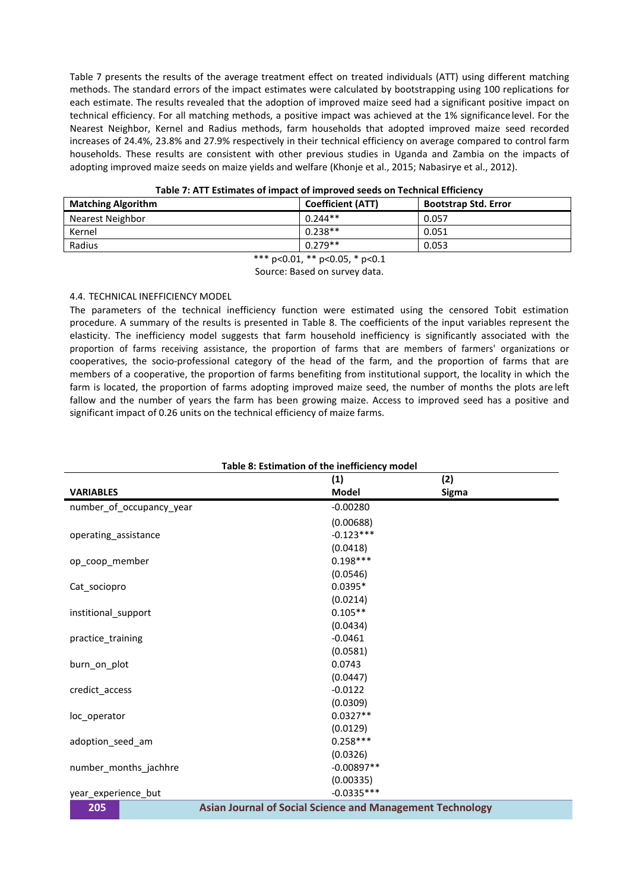Table 7 presents the results of the average treatment effect on treated individuals (ATT) using different matching methods. The standard errors of the impact estimates were calculated by bootstrapping using 100 replications for each estimate. The results revealed that the adoption of improved maize seed had a significant positive impact on technical efficiency. For all matching methods, a positive impact was achieved at the 1% significancelevel. For the Nearest Neighbor, Kernel and Radius methods, farm households that adopted improved maize seed recorded increases of 24.4%, 23.8% and 27.9% respectively in their technical efficiency on average compared to control farm households. These results are consistent with other previous studies in Uganda and Zambia on the impacts of adopting improved maize seeds on maize yields and welfare (Khonje et al., 2015; Nabasirye et al., 2012).

| <b>Matching Algorithm</b>        | <b>Coefficient (ATT)</b> | <b>Bootstrap Std. Error</b> |  |
|----------------------------------|--------------------------|-----------------------------|--|
| Nearest Neighbor                 | $0.244**$                | 0.057                       |  |
| Kernel                           | $0.238**$                | 0.051                       |  |
| Radius                           | $0.279**$                | 0.053                       |  |
| $*** - 0.01$ ** $-0.05$ * $-0.1$ |                          |                             |  |

# **Table 7: ATT Estimates of impact of improved seeds on Technical Efficiency**

 $p<0.01$ , \*\*  $p<0.05$ , \*  $p<0.1$ 

Source: Based on survey data.

# 4.4. TECHNICAL INEFFICIENCY MODEL

The parameters of the technical inefficiency function were estimated using the censored Tobit estimation procedure. A summary of the results is presented in Table 8. The coefficients of the input variables represent the elasticity. The inefficiency model suggests that farm household inefficiency is significantly associated with the proportion of farms receiving assistance, the proportion of farms that are members of farmers' organizations or cooperatives, the socio-professional category of the head of the farm, and the proportion of farms that are members of a cooperative, the proportion of farms benefiting from institutional support, the locality in which the farm is located, the proportion of farms adopting improved maize seed, the number of months the plots are left fallow and the number of years the farm has been growing maize. Access to improved seed has a positive and significant impact of 0.26 units on the technical efficiency of maize farms.

| Table 8: Estimation of the inefficiency model |                                                                  |              |  |  |
|-----------------------------------------------|------------------------------------------------------------------|--------------|--|--|
|                                               | (1)                                                              | (2)          |  |  |
| <b>VARIABLES</b>                              | <b>Model</b>                                                     | <b>Sigma</b> |  |  |
| number_of_occupancy_year                      | $-0.00280$                                                       |              |  |  |
|                                               | (0.00688)                                                        |              |  |  |
| operating_assistance                          | $-0.123***$                                                      |              |  |  |
|                                               | (0.0418)                                                         |              |  |  |
| op_coop_member                                | $0.198***$                                                       |              |  |  |
|                                               | (0.0546)                                                         |              |  |  |
| Cat_sociopro                                  | $0.0395*$                                                        |              |  |  |
|                                               | (0.0214)                                                         |              |  |  |
| institional_support                           | $0.105**$                                                        |              |  |  |
|                                               | (0.0434)                                                         |              |  |  |
| practice_training                             | $-0.0461$                                                        |              |  |  |
|                                               | (0.0581)                                                         |              |  |  |
| burn_on_plot                                  | 0.0743                                                           |              |  |  |
|                                               | (0.0447)                                                         |              |  |  |
| credict access                                | $-0.0122$                                                        |              |  |  |
|                                               | (0.0309)                                                         |              |  |  |
| loc operator                                  | $0.0327**$                                                       |              |  |  |
|                                               | (0.0129)                                                         |              |  |  |
| adoption seed am                              | $0.258***$                                                       |              |  |  |
|                                               | (0.0326)                                                         |              |  |  |
| number months jachhre                         | $-0.00897**$                                                     |              |  |  |
|                                               | (0.00335)                                                        |              |  |  |
| year_experience_but                           | $-0.0335***$                                                     |              |  |  |
| 205                                           | <b>Asian Journal of Social Science and Management Technology</b> |              |  |  |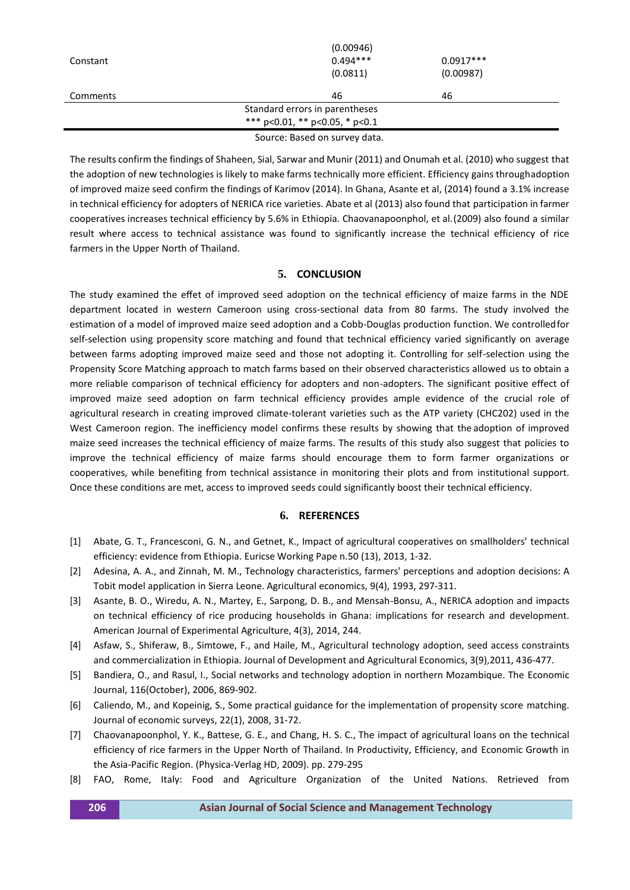|          | (0.00946)                              |             |  |
|----------|----------------------------------------|-------------|--|
| Constant | $0.494***$                             | $0.0917***$ |  |
|          | (0.0811)                               | (0.00987)   |  |
| Comments | 46                                     | 46          |  |
|          | Standard errors in parentheses         |             |  |
|          | *** $p<0.01$ , ** $p<0.05$ , * $p<0.1$ |             |  |
|          |                                        |             |  |

Source: Based on survey data.

The results confirm the findings of Shaheen, Sial, Sarwar and Munir (2011) and Onumah et al. (2010) who suggest that the adoption of new technologies is likely to make farms technically more efficient. Efficiency gains throughadoption of improved maize seed confirm the findings of Karimov (2014). In Ghana, Asante et al, (2014) found a 3.1% increase in technical efficiency for adopters of NERICA rice varieties. Abate et al (2013) also found that participation in farmer cooperatives increases technical efficiency by 5.6% in Ethiopia. Chaovanapoonphol, et al.(2009) also found a similar result where access to technical assistance was found to significantly increase the technical efficiency of rice farmers in the Upper North of Thailand.

# **5. CONCLUSION**

The study examined the effet of improved seed adoption on the technical efficiency of maize farms in the NDE department located in western Cameroon using cross-sectional data from 80 farms. The study involved the estimation of a model of improved maize seed adoption and a Cobb-Douglas production function. We controlledfor self-selection using propensity score matching and found that technical efficiency varied significantly on average between farms adopting improved maize seed and those not adopting it. Controlling for self-selection using the Propensity Score Matching approach to match farms based on their observed characteristics allowed us to obtain a more reliable comparison of technical efficiency for adopters and non-adopters. The significant positive effect of improved maize seed adoption on farm technical efficiency provides ample evidence of the crucial role of agricultural research in creating improved climate-tolerant varieties such as the ATP variety (CHC202) used in the West Cameroon region. The inefficiency model confirms these results by showing that the adoption of improved maize seed increases the technical efficiency of maize farms. The results of this study also suggest that policies to improve the technical efficiency of maize farms should encourage them to form farmer organizations or cooperatives, while benefiting from technical assistance in monitoring their plots and from institutional support. Once these conditions are met, access to improved seeds could significantly boost their technical efficiency.

# **6. REFERENCES**

- [1] Abate, G. T., Francesconi, G. N., and Getnet, K., Impact of agricultural cooperatives on smallholders' technical efficiency: evidence from Ethiopia. Euricse Working Pape n.50 (13), 2013, 1-32.
- [2] Adesina, A. A., and Zinnah, M. M., Technology characteristics, farmers' perceptions and adoption decisions: A Tobit model application in Sierra Leone. Agricultural economics, 9(4), 1993, 297-311.
- [3] Asante, B. O., Wiredu, A. N., Martey, E., Sarpong, D. B., and Mensah-Bonsu, A., NERICA adoption and impacts on technical efficiency of rice producing households in Ghana: implications for research and development. American Journal of Experimental Agriculture, 4(3), 2014, 244.
- [4] Asfaw, S., Shiferaw, B., Simtowe, F., and Haile, M., Agricultural technology adoption, seed access constraints and commercialization in Ethiopia. Journal of Development and Agricultural Economics, 3(9),2011, 436-477.
- [5] Bandiera, O., and Rasul, I., Social networks and technology adoption in northern Mozambique. The Economic Journal, 116(October), 2006, 869-902.
- [6] Caliendo, M., and Kopeinig, S., Some practical guidance for the implementation of propensity score matching. Journal of economic surveys, 22(1), 2008, 31-72.
- [7] Chaovanapoonphol, Y. K., Battese, G. E., and Chang, H. S. C., The impact of agricultural loans on the technical efficiency of rice farmers in the Upper North of Thailand. In Productivity, Efficiency, and Economic Growth in the Asia-Pacific Region. (Physica-Verlag HD, 2009). pp. 279-295
- [8] FAO, Rome, Italy: Food and Agriculture Organization of the United Nations. Retrieved from